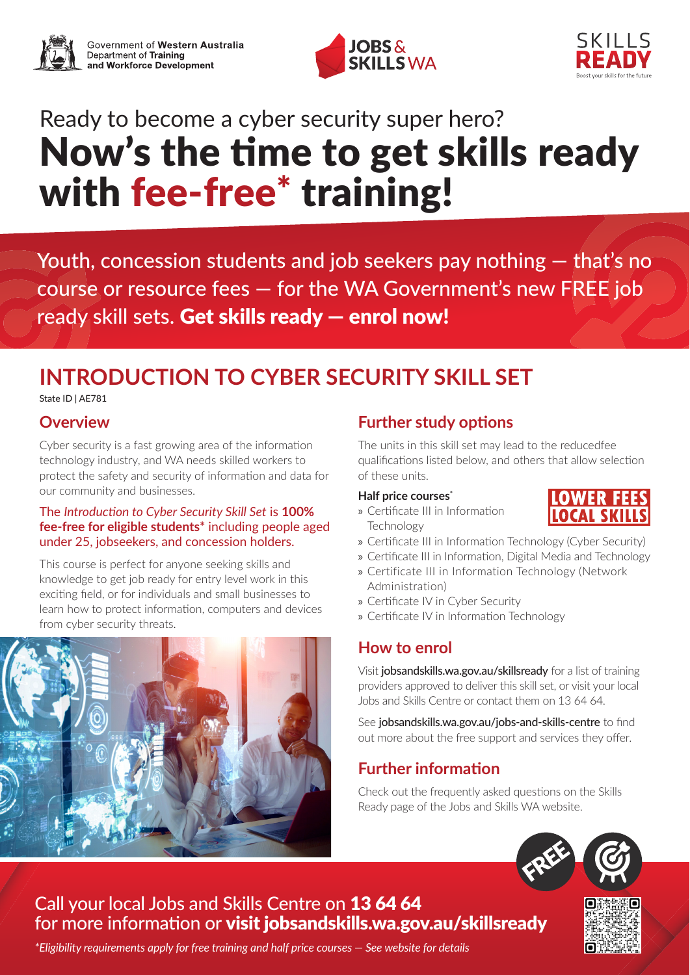





# Ready to become a cyber security super hero? Now's the time to get skills ready with fee-free<sup>\*</sup> training!

Youth, concession students and job seekers pay nothing — that's no course or resource fees — for the WA Government's new FREE job ready skill sets. Get skills ready — enrol now!

# **INTRODUCTION TO CYBER SECURITY SKILL SET**

State ID | AE781

#### **Overview**

Cyber security is a fast growing area of the information technology industry, and WA needs skilled workers to protect the safety and security of information and data for our community and businesses.

#### The *Introduction to Cyber Security Skill Set* is **100% fee-free for eligible students\*** including people aged under 25, jobseekers, and concession holders.

This course is perfect for anyone seeking skills and knowledge to get job ready for entry level work in this exciting field, or for individuals and small businesses to learn how to protect information, computers and devices from cyber security threats.



# **Further study options**

The units in this skill set may lead to the reducedfee qualifications listed below, and others that allow selection of these units.

#### **Half price courses\***

» Certificate III in Information **Technology** 



- » Certificate III in Information Technology (Cyber Security)
- » Certificate III in Information, Digital Media and Technology
- » Certificate III in Information Technology (Network Administration)
- » Certificate IV in Cyber Security
- » Certificate IV in Information Technology

### **How to enrol**

Visit [jobsandskills.wa.gov.au/skillsready](https://www.jobsandskills.wa.gov.au/skillsready) for a list of training providers approved to deliver this skill set, or visit your local Jobs and Skills Centre or contact them on 13 64 64.

See [jobsandskills.wa.gov.au/jobs-and-skills-centre](https://www.jobsandskills.wa.gov.au/jobs-and-skills-centre) to find out more about the free support and services they offer.

# **Further information**

Check out the frequently asked questions on the Skills Ready page of the Jobs and Skills WA website.



# Call your local Jobs and Skills Centre on 13 64 64 for more information or visit [jobsandskills.wa.gov.au/skillsready](https://www.jobsandskills.wa.gov.au/skillsready)



*\*Eligibility requirements apply for free training and half price courses — See website for details*